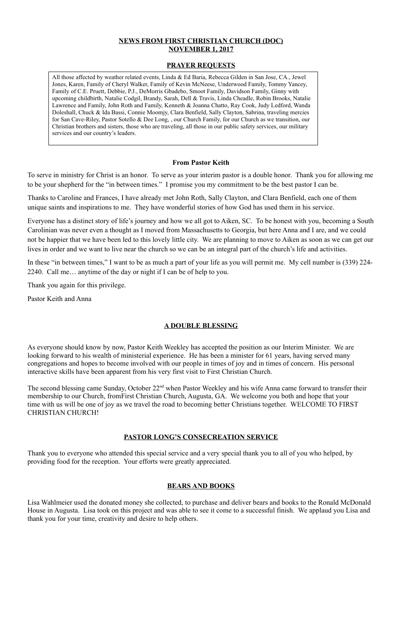## **NEWS FROM FIRST CHRISTIAN CHURCH (DOC) NOVEMBER 1, 2017**

### **PRAYER REQUESTS**

### **From Pastor Keith**

To serve in ministry for Christ is an honor. To serve as your interim pastor is a double honor. Thank you for allowing me to be your shepherd for the "in between times." I promise you my commitment to be the best pastor I can be.

Thanks to Caroline and Frances, I have already met John Roth, Sally Clayton, and Clara Benfield, each one of them unique saints and inspirations to me. They have wonderful stories of how God has used them in his service.

Everyone has a distinct story of life's journey and how we all got to Aiken, SC. To be honest with you, becoming a South Carolinian was never even a thought as I moved from Massachusetts to Georgia, but here Anna and I are, and we could not be happier that we have been led to this lovely little city. We are planning to move to Aiken as soon as we can get our lives in order and we want to live near the church so we can be an integral part of the church's life and activities.

The second blessing came Sunday, October 22<sup>nd</sup> when Pastor Weekley and his wife Anna came forward to transfer their membership to our Church, fromFirst Christian Church, Augusta, GA. We welcome you both and hope that your time with us will be one of joy as we travel the road to becoming better Christians together. WELCOME TO FIRST CHRISTIAN CHURCH!

In these "in between times," I want to be as much a part of your life as you will permit me. My cell number is (339) 224- 2240. Call me… anytime of the day or night if I can be of help to you.

Thank you again for this privilege.

Pastor Keith and Anna

# **A DOUBLE BLESSING**

As everyone should know by now, Pastor Keith Weekley has accepted the position as our Interim Minister. We are looking forward to his wealth of ministerial experience. He has been a minister for 61 years, having served many congregations and hopes to become involved with our people in times of joy and in times of concern. His personal interactive skills have been apparent from his very first visit to First Christian Church.

## **PASTOR LONG'S CONSECREATION SERVICE**

Thank you to everyone who attended this special service and a very special thank you to all of you who helped, by

providing food for the reception. Your efforts were greatly appreciated.

#### **BEARS AND BOOKS**

Lisa Wahlmeier used the donated money she collected, to purchase and deliver bears and books to the Ronald McDonald House in Augusta. Lisa took on this project and was able to see it come to a successful finish. We applaud you Lisa and thank you for your time, creativity and desire to help others.

All those affected by weather related events, Linda & Ed Baria, Rebecca Gilden in San Jose, CA., Jewel Jones, Karen, Family of Cheryl Walker, Family of Kevin McNeese, Underwood Family, Tommy Yancey, Family of C.E. Pruett, Debbie, P.J., DeMorris Gbadebo, Smoot Family, Davidson Family, Ginny with upcoming childbirth, Natalie Codgil, Brandy, Sarah, Dell & Travis, Linda Cheadle, Robin Brooks, Natalie Lawrence and Family, John Roth and Family, Kenneth & Joanna Chatto, Ray Cook, Judy Ledford, Wanda Doleshall, Chuck & Ida Bassi, Connie Moomjy, Clara Benfield, Sally Clayton, Sabrina, traveling mercies for San Cave-Riley, Pastor Sotello & Dee Long, , our Church Family, for our Church as we transition, our Christian brothers and sisters, those who are traveling, all those in our public safety services, our military services and our country's leaders.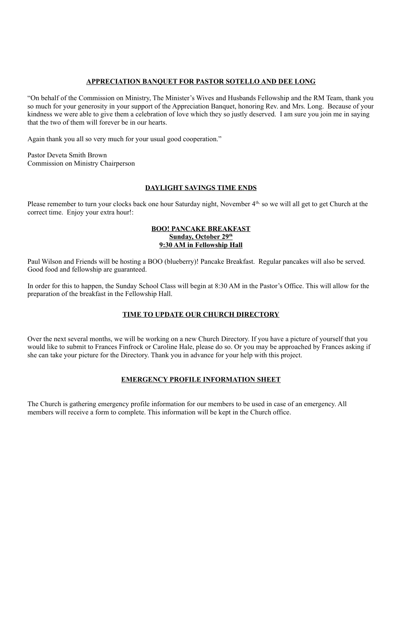## **APPRECIATION BANQUET FOR PASTOR SOTELLO AND DEE LONG**

"On behalf of the Commission on Ministry, The Minister's Wives and Husbands Fellowship and the RM Team, thank you so much for your generosity in your support of the Appreciation Banquet, honoring Rev. and Mrs. Long. Because of your kindness we were able to give them a celebration of love which they so justly deserved. I am sure you join me in saying that the two of them will forever be in our hearts.

Please remember to turn your clocks back one hour Saturday night, November  $4<sup>th</sup>$ , so we will all get to get Church at the correct time. Enjoy your extra hour!:

Again thank you all so very much for your usual good cooperation."

Pastor Deveta Smith Brown Commission on Ministry Chairperson

# **DAYLIGHT SAVINGS TIME ENDS**

## **BOO! PANCAKE BREAKFAST Sunday, October 29th 9:30 AM in Fellowship Hall**

Paul Wilson and Friends will be hosting a BOO (blueberry)! Pancake Breakfast. Regular pancakes will also be served. Good food and fellowship are guaranteed.

In order for this to happen, the Sunday School Class will begin at 8:30 AM in the Pastor's Office. This will allow for the preparation of the breakfast in the Fellowship Hall.

# **TIME TO UPDATE OUR CHURCH DIRECTORY**

Over the next several months, we will be working on a new Church Directory. If you have a picture of yourself that you would like to submit to Frances Finfrock or Caroline Hale, please do so. Or you may be approached by Frances asking if she can take your picture for the Directory. Thank you in advance for your help with this project.

# **EMERGENCY PROFILE INFORMATION SHEET**

The Church is gathering emergency profile information for our members to be used in case of an emergency. All members will receive a form to complete. This information will be kept in the Church office.